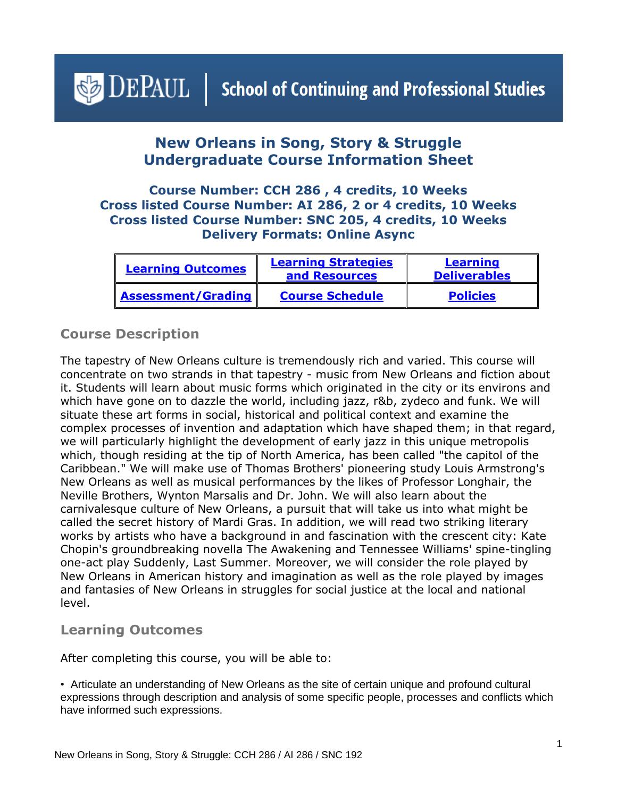# <span id="page-0-1"></span> $\bigcirc$  DEPAUL | School of Continuing and Professional Studies

## **New Orleans in Song, Story & Struggle Undergraduate Course Information Sheet**

#### **Course Number: CCH 286 , 4 credits, 10 Weeks Cross listed Course Number: AI 286, 2 or 4 credits, 10 Weeks Cross listed Course Number: SNC 205, 4 credits, 10 Weeks Delivery Formats: Online Async**

| <b>Learning Outcomes</b>  | <b>Learning Strategies</b><br>and Resources | Learning<br><b>Deliverables</b> |
|---------------------------|---------------------------------------------|---------------------------------|
| <b>Assessment/Grading</b> | <b>Course Schedule</b>                      | <b>Policies</b>                 |

## **Course Description**

The tapestry of New Orleans culture is tremendously rich and varied. This course will concentrate on two strands in that tapestry - music from New Orleans and fiction about it. Students will learn about music forms which originated in the city or its environs and which have gone on to dazzle the world, including jazz, r&b, zydeco and funk. We will situate these art forms in social, historical and political context and examine the complex processes of invention and adaptation which have shaped them; in that regard, we will particularly highlight the development of early jazz in this unique metropolis which, though residing at the tip of North America, has been called "the capitol of the Caribbean." We will make use of Thomas Brothers' pioneering study Louis Armstrong's New Orleans as well as musical performances by the likes of Professor Longhair, the Neville Brothers, Wynton Marsalis and Dr. John. We will also learn about the carnivalesque culture of New Orleans, a pursuit that will take us into what might be called the secret history of Mardi Gras. In addition, we will read two striking literary works by artists who have a background in and fascination with the crescent city: Kate Chopin's groundbreaking novella The Awakening and Tennessee Williams' spine-tingling one-act play Suddenly, Last Summer. Moreover, we will consider the role played by New Orleans in American history and imagination as well as the role played by images and fantasies of New Orleans in struggles for social justice at the local and national level.

#### <span id="page-0-0"></span>**Learning Outcomes**

After completing this course, you will be able to:

• Articulate an understanding of New Orleans as the site of certain unique and profound cultural expressions through description and analysis of some specific people, processes and conflicts which have informed such expressions.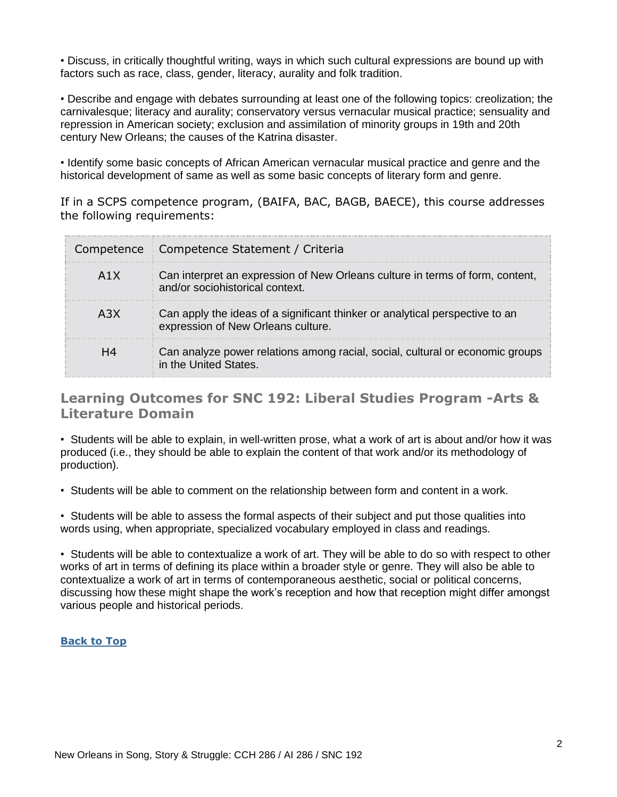• Discuss, in critically thoughtful writing, ways in which such cultural expressions are bound up with factors such as race, class, gender, literacy, aurality and folk tradition.

• Describe and engage with debates surrounding at least one of the following topics: creolization; the carnivalesque; literacy and aurality; conservatory versus vernacular musical practice; sensuality and repression in American society; exclusion and assimilation of minority groups in 19th and 20th century New Orleans; the causes of the Katrina disaster.

• Identify some basic concepts of African American vernacular musical practice and genre and the historical development of same as well as some basic concepts of literary form and genre.

If in a SCPS competence program, (BAIFA, BAC, BAGB, BAECE), this course addresses the following requirements:

|                  | Competence   Competence Statement / Criteria                                                                       |
|------------------|--------------------------------------------------------------------------------------------------------------------|
| A <sub>1</sub> X | Can interpret an expression of New Orleans culture in terms of form, content,<br>and/or sociohistorical context.   |
| A <sub>3</sub> X | Can apply the ideas of a significant thinker or analytical perspective to an<br>expression of New Orleans culture. |
| H4               | Can analyze power relations among racial, social, cultural or economic groups<br>in the United States.             |

## <span id="page-1-0"></span>**Learning Outcomes for SNC 192: Liberal Studies Program -Arts & Literature Domain**

• Students will be able to explain, in well-written prose, what a work of art is about and/or how it was produced (i.e., they should be able to explain the content of that work and/or its methodology of production).

• Students will be able to comment on the relationship between form and content in a work.

• Students will be able to assess the formal aspects of their subject and put those qualities into words using, when appropriate, specialized vocabulary employed in class and readings.

• Students will be able to contextualize a work of art. They will be able to do so with respect to other works of art in terms of defining its place within a broader style or genre. They will also be able to contextualize a work of art in terms of contemporaneous aesthetic, social or political concerns, discussing how these might shape the work's reception and how that reception might differ amongst various people and historical periods.

#### **[Back to Top](#page-0-1)**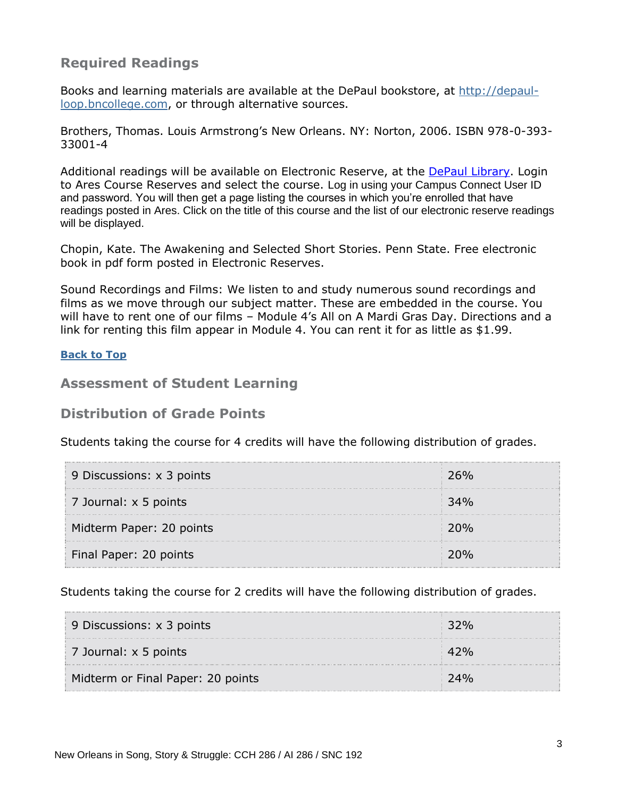## **Required Readings**

Books and learning materials are available at the DePaul bookstore, at [http://depaul](http://depaul-loop.bncollege.com/)[loop.bncollege.com,](http://depaul-loop.bncollege.com/) or through alternative sources.

Brothers, Thomas. Louis Armstrong's New Orleans. NY: Norton, 2006. ISBN 978-0-393- 33001-4

Additional readings will be available on Electronic Reserve, at the [DePaul Library.](https://library.depaul.edu/services/Pages/Course-Reserves-Services.aspx) Login to Ares Course Reserves and select the course. Log in using your Campus Connect User ID and password. You will then get a page listing the courses in which you're enrolled that have readings posted in Ares. Click on the title of this course and the list of our electronic reserve readings will be displayed.

Chopin, Kate. The Awakening and Selected Short Stories. Penn State. Free electronic book in pdf form posted in Electronic Reserves.

Sound Recordings and Films: We listen to and study numerous sound recordings and films as we move through our subject matter. These are embedded in the course. You will have to rent one of our films – Module 4's All on A Mardi Gras Day. Directions and a link for renting this film appear in Module 4. You can rent it for as little as \$1.99.

#### **[Back to Top](#page-0-1)**

#### <span id="page-2-0"></span>**Assessment of Student Learning**

#### **Distribution of Grade Points**

Students taking the course for 4 credits will have the following distribution of grades.

| 9 Discussions: x 3 points | 26% |
|---------------------------|-----|
| 7 Journal: x 5 points     | 34% |
| Midterm Paper: 20 points  | 20% |
| Final Paper: 20 points    |     |

Students taking the course for 2 credits will have the following distribution of grades.

| 9 Discussions: $\times$ 3 points  | 32% |
|-----------------------------------|-----|
| 7 Journal: x 5 points             |     |
| Midterm or Final Paper: 20 points | 74% |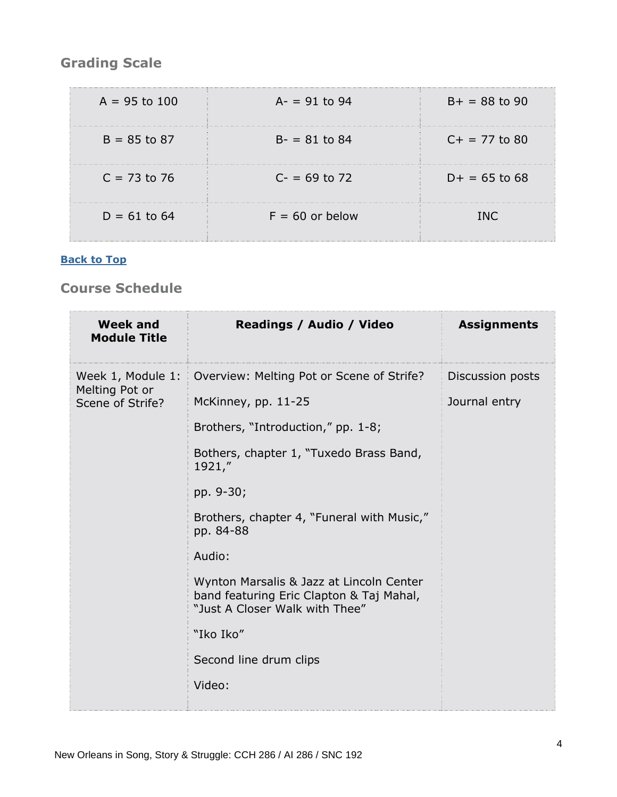# **Grading Scale**

| $A = 95$ to 100 | $A = 91$ to 94    | $B+ = 88$ to 90 |
|-----------------|-------------------|-----------------|
| $B = 85$ to 87  | $B - 81$ to 84    | $C+ = 77$ to 80 |
| $C = 73$ to 76  | $C = 69$ to 72    | $D+ = 65$ to 68 |
| $D = 61$ to 64  | $F = 60$ or below | TNC.            |

#### **[Back to Top](#page-0-1)**

## <span id="page-3-0"></span>**Course Schedule**

| <b>Week and</b><br><b>Module Title</b> | Readings / Audio / Video                                                                                               | <b>Assignments</b> |
|----------------------------------------|------------------------------------------------------------------------------------------------------------------------|--------------------|
| Week 1, Module 1:                      | Overview: Melting Pot or Scene of Strife?                                                                              | Discussion posts   |
| Melting Pot or<br>Scene of Strife?     | McKinney, pp. 11-25                                                                                                    | Journal entry      |
|                                        | Brothers, "Introduction," pp. 1-8;                                                                                     |                    |
|                                        | Bothers, chapter 1, "Tuxedo Brass Band,<br>1921,''                                                                     |                    |
|                                        | pp. 9-30;                                                                                                              |                    |
|                                        | Brothers, chapter 4, "Funeral with Music,"<br>pp. 84-88                                                                |                    |
|                                        | Audio:                                                                                                                 |                    |
|                                        | Wynton Marsalis & Jazz at Lincoln Center<br>band featuring Eric Clapton & Taj Mahal,<br>"Just A Closer Walk with Thee" |                    |
|                                        | "Iko Iko"                                                                                                              |                    |
|                                        | Second line drum clips                                                                                                 |                    |
|                                        | Video:                                                                                                                 |                    |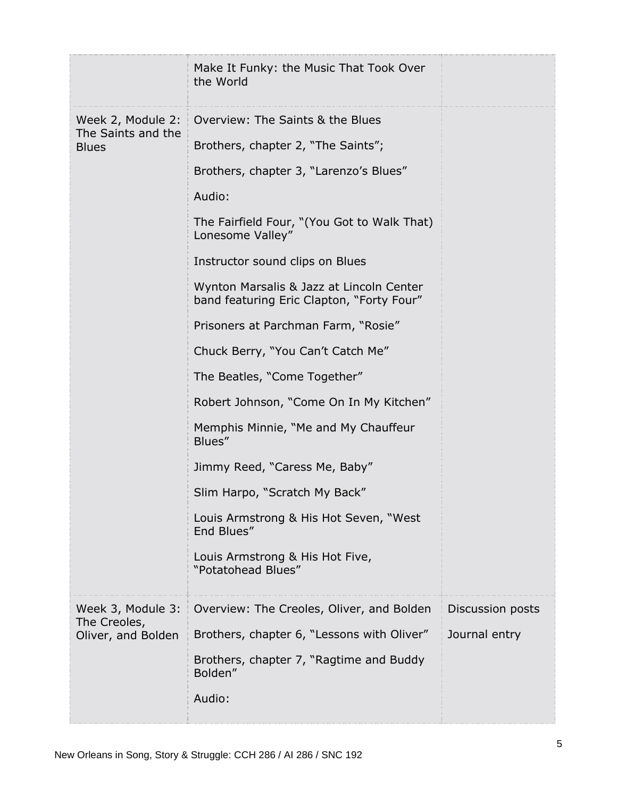|                                    | Make It Funky: the Music That Took Over<br>the World                                  |                  |
|------------------------------------|---------------------------------------------------------------------------------------|------------------|
| Week 2, Module 2:                  | Overview: The Saints & the Blues                                                      |                  |
| The Saints and the<br><b>Blues</b> | Brothers, chapter 2, "The Saints";                                                    |                  |
|                                    | Brothers, chapter 3, "Larenzo's Blues"                                                |                  |
|                                    | Audio:                                                                                |                  |
|                                    | The Fairfield Four, "(You Got to Walk That)<br>Lonesome Valley"                       |                  |
|                                    | Instructor sound clips on Blues                                                       |                  |
|                                    | Wynton Marsalis & Jazz at Lincoln Center<br>band featuring Eric Clapton, "Forty Four" |                  |
|                                    | Prisoners at Parchman Farm, "Rosie"                                                   |                  |
|                                    | Chuck Berry, "You Can't Catch Me"                                                     |                  |
|                                    | The Beatles, "Come Together"                                                          |                  |
|                                    | Robert Johnson, "Come On In My Kitchen"                                               |                  |
|                                    | Memphis Minnie, "Me and My Chauffeur<br>Blues"                                        |                  |
|                                    | Jimmy Reed, "Caress Me, Baby"                                                         |                  |
|                                    | Slim Harpo, "Scratch My Back"                                                         |                  |
|                                    | Louis Armstrong & His Hot Seven, "West<br>End Blues"                                  |                  |
|                                    | Louis Armstrong & His Hot Five,<br>"Potatohead Blues"                                 |                  |
| Week 3, Module 3:                  | Overview: The Creoles, Oliver, and Bolden                                             | Discussion posts |
| The Creoles,<br>Oliver, and Bolden | Brothers, chapter 6, "Lessons with Oliver"                                            | Journal entry    |
|                                    | Brothers, chapter 7, "Ragtime and Buddy<br>Bolden"                                    |                  |
|                                    | Audio:                                                                                |                  |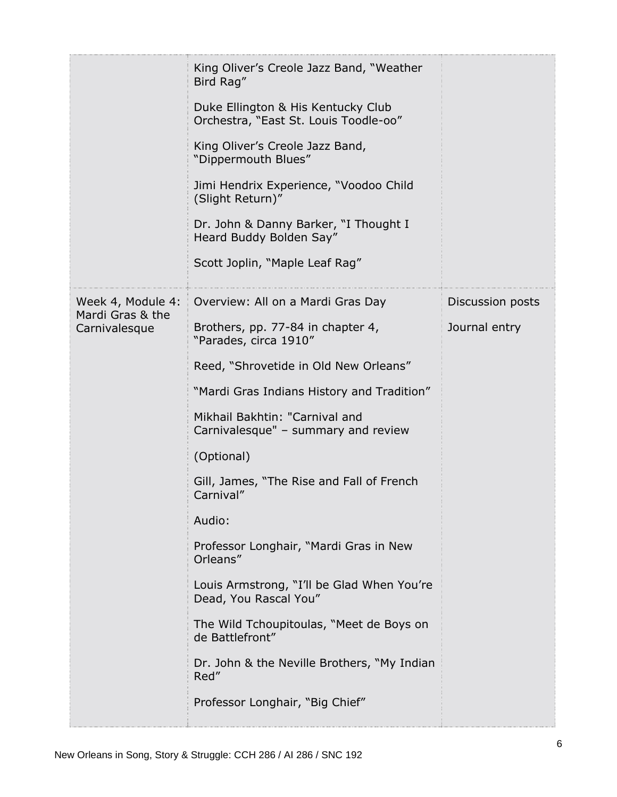|                                   | King Oliver's Creole Jazz Band, "Weather<br>Bird Rag"                       |                  |
|-----------------------------------|-----------------------------------------------------------------------------|------------------|
|                                   | Duke Ellington & His Kentucky Club<br>Orchestra, "East St. Louis Toodle-oo" |                  |
|                                   | King Oliver's Creole Jazz Band,<br>"Dippermouth Blues"                      |                  |
|                                   | Jimi Hendrix Experience, "Voodoo Child<br>(Slight Return)"                  |                  |
|                                   | Dr. John & Danny Barker, "I Thought I<br>Heard Buddy Bolden Say"            |                  |
|                                   | Scott Joplin, "Maple Leaf Rag"                                              |                  |
| Week 4, Module 4:                 | Overview: All on a Mardi Gras Day                                           | Discussion posts |
| Mardi Gras & the<br>Carnivalesque | Brothers, pp. 77-84 in chapter 4,<br>"Parades, circa 1910"                  | Journal entry    |
|                                   | Reed, "Shrovetide in Old New Orleans"                                       |                  |
|                                   | "Mardi Gras Indians History and Tradition"                                  |                  |
|                                   | Mikhail Bakhtin: "Carnival and<br>Carnivalesque" - summary and review       |                  |
|                                   | (Optional)                                                                  |                  |
|                                   | Gill, James, "The Rise and Fall of French<br>Carnival"                      |                  |
|                                   | Audio:                                                                      |                  |
|                                   | Professor Longhair, "Mardi Gras in New<br>Orleans"                          |                  |
|                                   | Louis Armstrong, "I'll be Glad When You're<br>Dead, You Rascal You"         |                  |
|                                   | The Wild Tchoupitoulas, "Meet de Boys on<br>de Battlefront"                 |                  |
|                                   | Dr. John & the Neville Brothers, "My Indian<br>Red"                         |                  |
|                                   | Professor Longhair, "Big Chief"                                             |                  |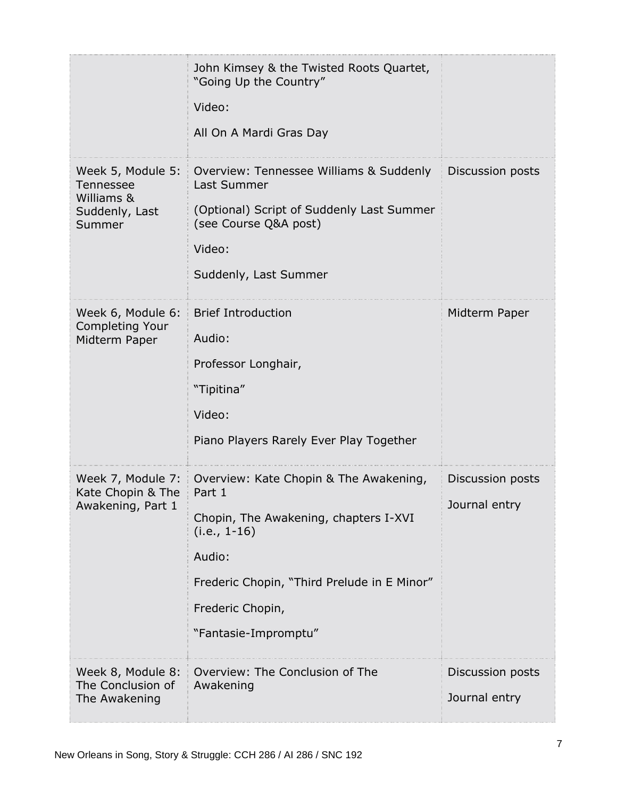|                                                                                 | John Kimsey & the Twisted Roots Quartet,<br>"Going Up the Country"<br>Video:<br>All On A Mardi Gras Day                                                                                                          |                                   |
|---------------------------------------------------------------------------------|------------------------------------------------------------------------------------------------------------------------------------------------------------------------------------------------------------------|-----------------------------------|
| Week 5, Module 5:<br><b>Tennessee</b><br>Williams &<br>Suddenly, Last<br>Summer | Overview: Tennessee Williams & Suddenly<br>Last Summer<br>(Optional) Script of Suddenly Last Summer<br>(see Course Q&A post)<br>Video:<br>Suddenly, Last Summer                                                  | Discussion posts                  |
| Week 6, Module 6:<br><b>Completing Your</b><br>Midterm Paper                    | <b>Brief Introduction</b><br>Audio:<br>Professor Longhair,<br>"Tipitina"<br>Video:<br>Piano Players Rarely Ever Play Together                                                                                    | Midterm Paper                     |
| Week 7, Module 7:<br>Kate Chopin & The<br>Awakening, Part 1                     | Overview: Kate Chopin & The Awakening,<br>Part 1<br>Chopin, The Awakening, chapters I-XVI<br>$(i.e., 1-16)$<br>Audio:<br>Frederic Chopin, "Third Prelude in E Minor"<br>Frederic Chopin,<br>"Fantasie-Impromptu" | Discussion posts<br>Journal entry |
| Week 8, Module 8:<br>The Conclusion of<br>The Awakening                         | Overview: The Conclusion of The<br>Awakening                                                                                                                                                                     | Discussion posts<br>Journal entry |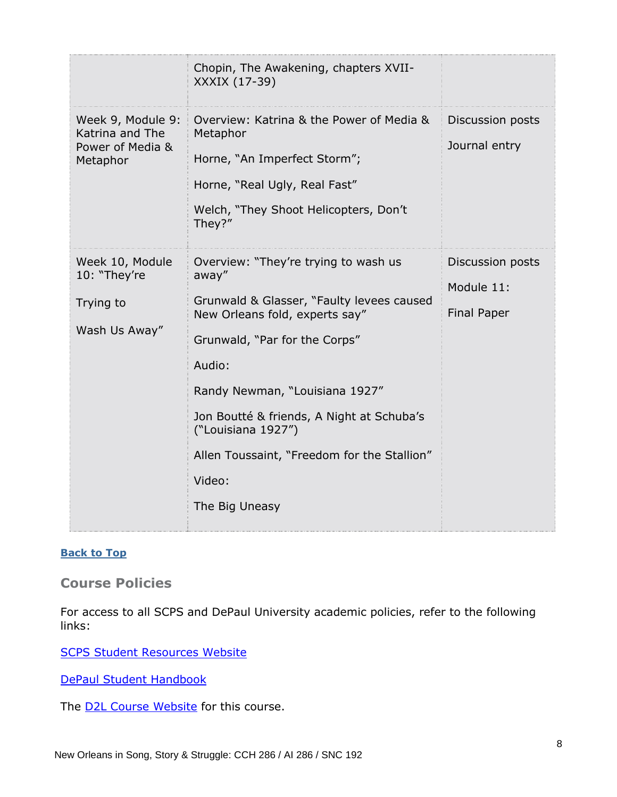|                                                                      | Chopin, The Awakening, chapters XVII-<br>XXXIX (17-39)                                                                                                                                                                                                                                                                                                  |                                                      |
|----------------------------------------------------------------------|---------------------------------------------------------------------------------------------------------------------------------------------------------------------------------------------------------------------------------------------------------------------------------------------------------------------------------------------------------|------------------------------------------------------|
| Week 9, Module 9:<br>Katrina and The<br>Power of Media &<br>Metaphor | Overview: Katrina & the Power of Media &<br>Metaphor<br>Horne, "An Imperfect Storm";<br>Horne, "Real Ugly, Real Fast"<br>Welch, "They Shoot Helicopters, Don't<br>They?"                                                                                                                                                                                | Discussion posts<br>Journal entry                    |
| Week 10, Module<br>10: "They're<br>Trying to<br>Wash Us Away"        | Overview: "They're trying to wash us<br>away"<br>Grunwald & Glasser, "Faulty levees caused<br>New Orleans fold, experts say"<br>Grunwald, "Par for the Corps"<br>Audio:<br>Randy Newman, "Louisiana 1927"<br>Jon Boutté & friends, A Night at Schuba's<br>("Louisiana 1927")<br>Allen Toussaint, "Freedom for the Stallion"<br>Video:<br>The Big Uneasy | Discussion posts<br>Module 11:<br><b>Final Paper</b> |

#### **[Back to Top](#page-0-1)**

<span id="page-7-0"></span>**Course Policies**

For access to all SCPS and DePaul University academic policies, refer to the following links:

[SCPS Student Resources Website](https://scps.depaul.edu/student-resources/Pages/default.aspx)

[DePaul Student Handbook](https://catalog.depaul.edu/student-handbooks/)

The **D2L Course Website** for this course.